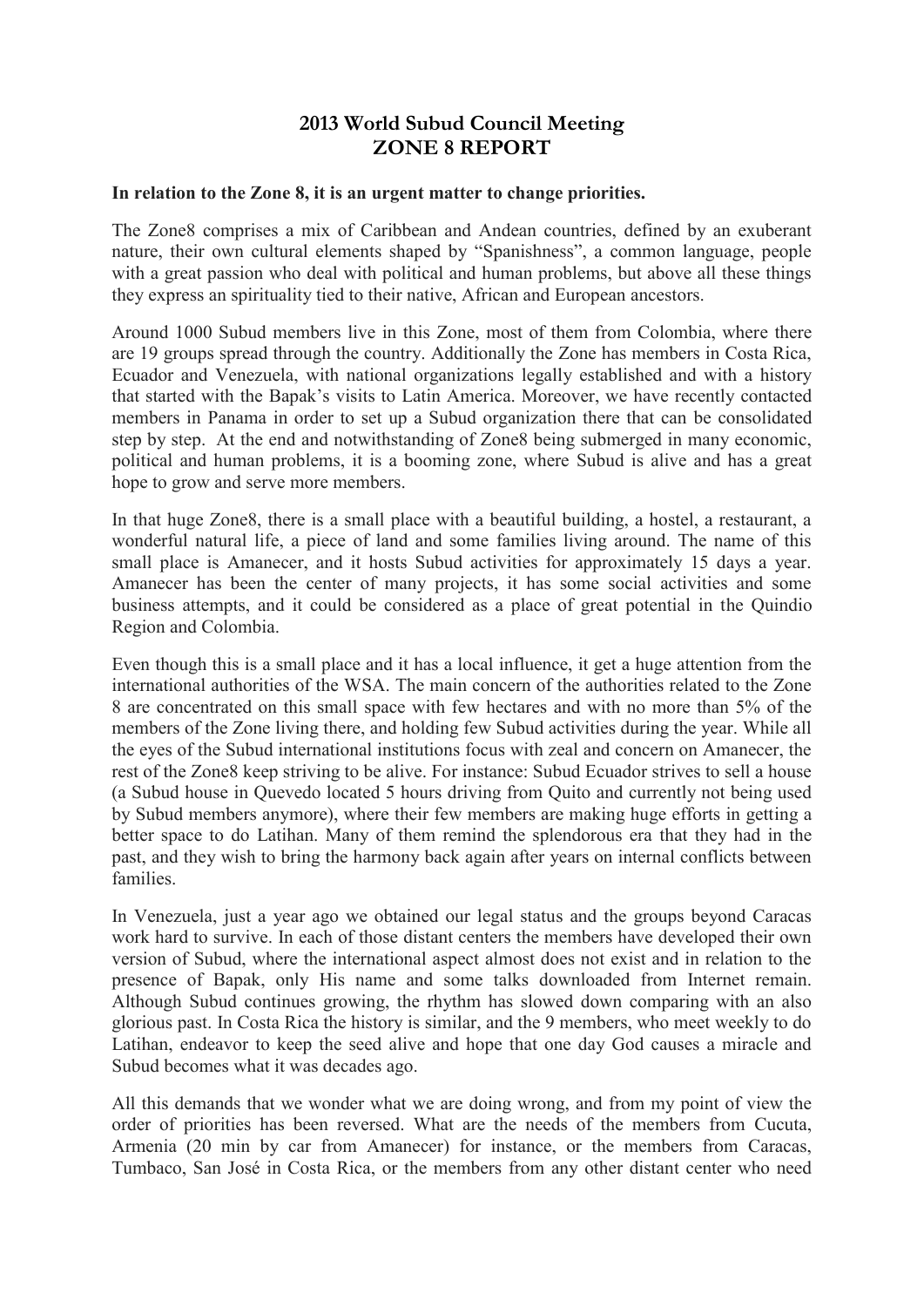## **2013 World Subud Council Meeting ZONE 8 REPORT**

## **In relation to the Zone 8, it is an urgent matter to change priorities.**

The Zone8 comprises a mix of Caribbean and Andean countries, defined by an exuberant nature, their own cultural elements shaped by "Spanishness", a common language, people with a great passion who deal with political and human problems, but above all these things they express an spirituality tied to their native, African and European ancestors.

Around 1000 Subud members live in this Zone, most of them from Colombia, where there are 19 groups spread through the country. Additionally the Zone has members in Costa Rica, Ecuador and Venezuela, with national organizations legally established and with a history that started with the Bapak's visits to Latin America. Moreover, we have recently contacted members in Panama in order to set up a Subud organization there that can be consolidated step by step. At the end and notwithstanding of Zone8 being submerged in many economic, political and human problems, it is a booming zone, where Subud is alive and has a great hope to grow and serve more members.

In that huge Zone8, there is a small place with a beautiful building, a hostel, a restaurant, a wonderful natural life, a piece of land and some families living around. The name of this small place is Amanecer, and it hosts Subud activities for approximately 15 days a year. Amanecer has been the center of many projects, it has some social activities and some business attempts, and it could be considered as a place of great potential in the Quindio Region and Colombia.

Even though this is a small place and it has a local influence, it get a huge attention from the international authorities of the WSA. The main concern of the authorities related to the Zone 8 are concentrated on this small space with few hectares and with no more than 5% of the members of the Zone living there, and holding few Subud activities during the year. While all the eyes of the Subud international institutions focus with zeal and concern on Amanecer, the rest of the Zone8 keep striving to be alive. For instance: Subud Ecuador strives to sell a house (a Subud house in Quevedo located 5 hours driving from Quito and currently not being used by Subud members anymore), where their few members are making huge efforts in getting a better space to do Latihan. Many of them remind the splendorous era that they had in the past, and they wish to bring the harmony back again after years on internal conflicts between families.

In Venezuela, just a year ago we obtained our legal status and the groups beyond Caracas work hard to survive. In each of those distant centers the members have developed their own version of Subud, where the international aspect almost does not exist and in relation to the presence of Bapak, only His name and some talks downloaded from Internet remain. Although Subud continues growing, the rhythm has slowed down comparing with an also glorious past. In Costa Rica the history is similar, and the 9 members, who meet weekly to do Latihan, endeavor to keep the seed alive and hope that one day God causes a miracle and Subud becomes what it was decades ago.

All this demands that we wonder what we are doing wrong, and from my point of view the order of priorities has been reversed. What are the needs of the members from Cucuta, Armenia (20 min by car from Amanecer) for instance, or the members from Caracas, Tumbaco, San José in Costa Rica, or the members from any other distant center who need